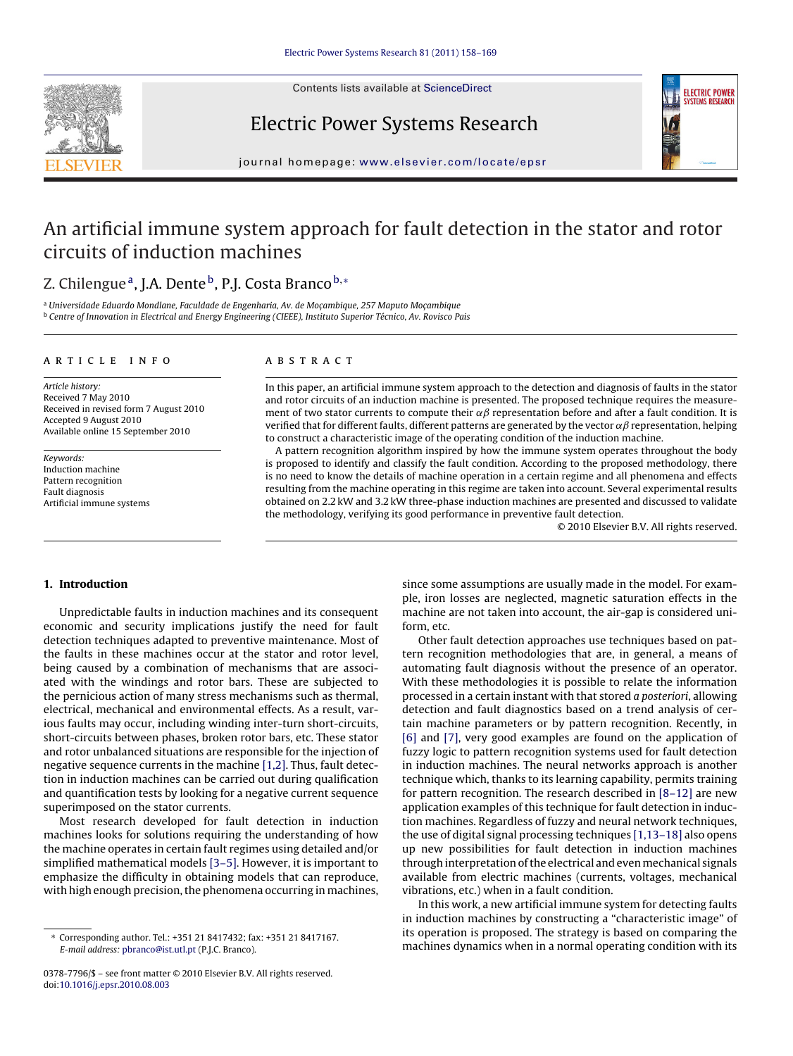

Contents lists available at [ScienceDirect](http://www.sciencedirect.com/science/journal/03787796)

## Electric Power Systems Research



journal homepage: [www.elsevier.com/locate/epsr](http://www.elsevier.com/locate/epsr)

## An artificial immune system approach for fault detection in the stator and rotor circuits of induction machines

### Z. Chilengue<sup>a</sup>, J.A. Dente<sup>b</sup>, P.J. Costa Branco<sup>b,∗</sup>

<sup>a</sup> Universidade Eduardo Mondlane, Faculdade de Engenharia, Av. de Moçambique, 257 Maputo Moçambique <sup>b</sup> Centre of Innovation in Electrical and Energy Engineering (CIEEE), Instituto Superior Técnico, Av. Rovisco Pais

#### article info

Article history: Received 7 May 2010 Received in revised form 7 August 2010 Accepted 9 August 2010 Available online 15 September 2010

Keywords: Induction machine Pattern recognition Fault diagnosis Artificial immune systems

#### **ABSTRACT**

In this paper, an artificial immune system approach to the detection and diagnosis of faults in the stator and rotor circuits of an induction machine is presented. The proposed technique requires the measurement of two stator currents to compute their  $\alpha\beta$  representation before and after a fault condition. It is verified that for different faults, different patterns are generated by the vector  $\alpha\beta$  representation, helping to construct a characteristic image of the operating condition of the induction machine.

A pattern recognition algorithm inspired by how the immune system operates throughout the body is proposed to identify and classify the fault condition. According to the proposed methodology, there is no need to know the details of machine operation in a certain regime and all phenomena and effects resulting from the machine operating in this regime are taken into account. Several experimental results obtained on 2.2 kW and 3.2 kW three-phase induction machines are presented and discussed to validate the methodology, verifying its good performance in preventive fault detection.

© 2010 Elsevier B.V. All rights reserved.

#### **1. Introduction**

Unpredictable faults in induction machines and its consequent economic and security implications justify the need for fault detection techniques adapted to preventive maintenance. Most of the faults in these machines occur at the stator and rotor level, being caused by a combination of mechanisms that are associated with the windings and rotor bars. These are subjected to the pernicious action of many stress mechanisms such as thermal, electrical, mechanical and environmental effects. As a result, various faults may occur, including winding inter-turn short-circuits, short-circuits between phases, broken rotor bars, etc. These stator and rotor unbalanced situations are responsible for the injection of negative sequence currents in the machine [\[1,2\]. T](#page--1-0)hus, fault detection in induction machines can be carried out during qualification and quantification tests by looking for a negative current sequence superimposed on the stator currents.

Most research developed for fault detection in induction machines looks for solutions requiring the understanding of how the machine operates in certain fault regimes using detailed and/or simplified mathematical models [\[3–5\]. H](#page--1-0)owever, it is important to emphasize the difficulty in obtaining models that can reproduce, with high enough precision, the phenomena occurring in machines, since some assumptions are usually made in the model. For example, iron losses are neglected, magnetic saturation effects in the machine are not taken into account, the air-gap is considered uniform, etc.

Other fault detection approaches use techniques based on pattern recognition methodologies that are, in general, a means of automating fault diagnosis without the presence of an operator. With these methodologies it is possible to relate the information processed in a certain instant with that stored a posteriori, allowing detection and fault diagnostics based on a trend analysis of certain machine parameters or by pattern recognition. Recently, in [\[6\]](#page--1-0) and [\[7\],](#page--1-0) very good examples are found on the application of fuzzy logic to pattern recognition systems used for fault detection in induction machines. The neural networks approach is another technique which, thanks to its learning capability, permits training for pattern recognition. The research described in [\[8–12\]](#page--1-0) are new application examples of this technique for fault detection in induction machines. Regardless of fuzzy and neural network techniques, the use of digital signal processing techniques [\[1,13–18\]](#page--1-0) also opens up new possibilities for fault detection in induction machines through interpretation of the electrical and evenmechanical signals available from electric machines (currents, voltages, mechanical vibrations, etc.) when in a fault condition.

In this work, a new artificial immune system for detecting faults in induction machines by constructing a "characteristic image" of its operation is proposed. The strategy is based on comparing the machines dynamics when in a normal operating condition with its

<sup>∗</sup> Corresponding author. Tel.: +351 21 8417432; fax: +351 21 8417167. E-mail address: [pbranco@ist.utl.pt](mailto:pbranco@ist.utl.pt) (P.J.C. Branco).

<sup>0378-7796/\$ –</sup> see front matter © 2010 Elsevier B.V. All rights reserved. doi:[10.1016/j.epsr.2010.08.003](dx.doi.org/10.1016/j.epsr.2010.08.003)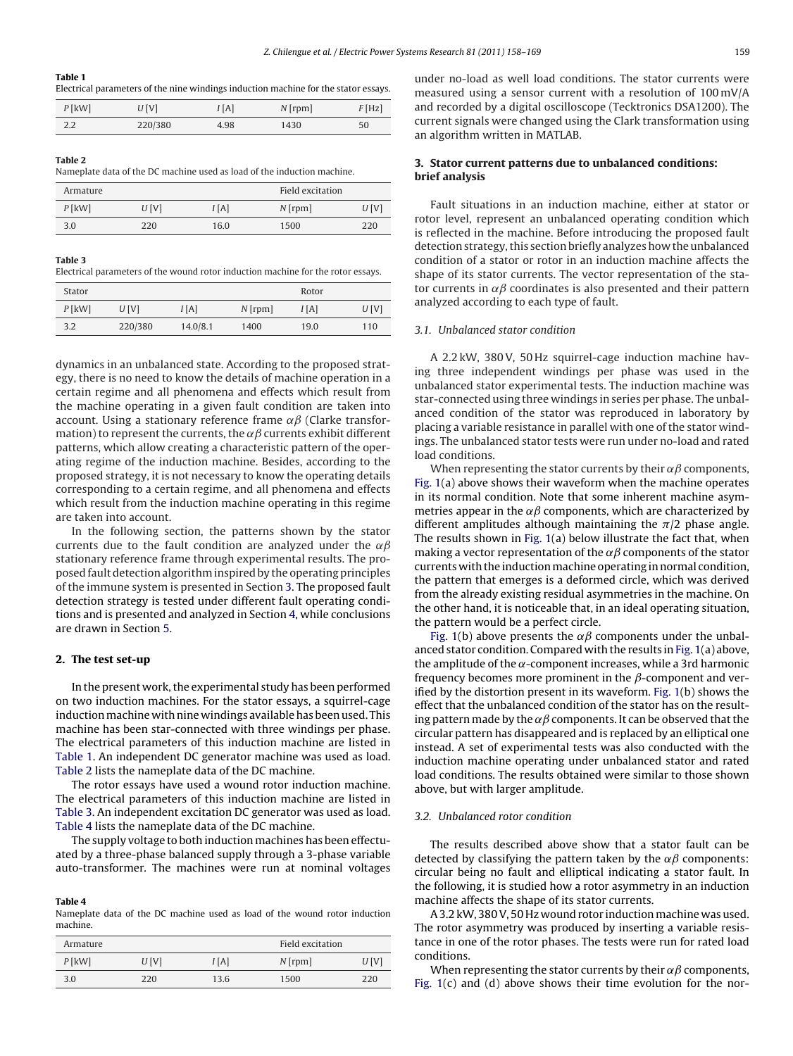#### **Table 1**

Electrical parameters of the nine windings induction machine for the stator essays.

| $P$ [kW] | U[V]    | I[A] | $N$ [rpm] | F[Hz] |
|----------|---------|------|-----------|-------|
| 2.2      | 220/380 | 4.98 | 1430      | 50    |

#### **Table 2**

Nameplate data of the DC machine used as load of the induction machine.

| Armature |       |      |           | Field excitation |  |
|----------|-------|------|-----------|------------------|--|
| $P$ [kW] | U IVI | I[A] | $N$ [rpm] | U IV             |  |
| 3.0      | 220   | 16.0 | 1500      | 220              |  |

#### **Table 3**

Electrical parameters of the wound rotor induction machine for the rotor essays.

| Stator   |         |          |           | Rotor |         |
|----------|---------|----------|-----------|-------|---------|
| $P$ [kW] | U IVI   | I[A]     | $N$ [rpm] | I [A] | $U$ [V] |
| 3.2      | 220/380 | 14.0/8.1 | 1400      | 19.0  | 110     |

dynamics in an unbalanced state. According to the proposed strategy, there is no need to know the details of machine operation in a certain regime and all phenomena and effects which result from the machine operating in a given fault condition are taken into account. Using a stationary reference frame  $\alpha\beta$  (Clarke transformation) to represent the currents, the  $\alpha\beta$  currents exhibit different patterns, which allow creating a characteristic pattern of the operating regime of the induction machine. Besides, according to the proposed strategy, it is not necessary to know the operating details corresponding to a certain regime, and all phenomena and effects which result from the induction machine operating in this regime are taken into account.

In the following section, the patterns shown by the stator currents due to the fault condition are analyzed under the  $\alpha\beta$ stationary reference frame through experimental results. The proposed fault detection algorithm inspired by the operating principles of the immune system is presented in Section 3. The proposed fault detection strategy is tested under different fault operating conditions and is presented and analyzed in Section [4, w](#page--1-0)hile conclusions are drawn in Section [5.](#page--1-0)

#### **2. The test set-up**

In the present work, the experimental study has been performed on two induction machines. For the stator essays, a squirrel-cage induction machine with nine windings available has been used. This machine has been star-connected with three windings per phase. The electrical parameters of this induction machine are listed in Table 1. An independent DC generator machine was used as load. Table 2 lists the nameplate data of the DC machine.

The rotor essays have used a wound rotor induction machine. The electrical parameters of this induction machine are listed in Table 3. An independent excitation DC generator was used as load. Table 4 lists the nameplate data of the DC machine.

The supply voltage to both induction machines has been effectuated by a three-phase balanced supply through a 3-phase variable auto-transformer. The machines were run at nominal voltages

#### **Table 4** Nameplate data of the DC machine used as load of the wound rotor induction machine.

| Armature |         |      | Field excitation |       |
|----------|---------|------|------------------|-------|
| $P$ [kW] | $U$ [V] | I[A] | $N$ [rpm]        | U [V] |
| 3.0      | 220     | 13.6 | 1500             | 220   |

under no-load as well load conditions. The stator currents were measured using a sensor current with a resolution of 100 mV/A and recorded by a digital oscilloscope (Tecktronics DSA1200). The current signals were changed using the Clark transformation using an algorithm written in MATLAB.

#### **3. Stator current patterns due to unbalanced conditions: brief analysis**

Fault situations in an induction machine, either at stator or rotor level, represent an unbalanced operating condition which is reflected in the machine. Before introducing the proposed fault detection strategy, this section briefly analyzes how the unbalanced condition of a stator or rotor in an induction machine affects the shape of its stator currents. The vector representation of the stator currents in  $\alpha\beta$  coordinates is also presented and their pattern analyzed according to each type of fault.

#### 3.1. Unbalanced stator condition

A 2.2 kW, 380 V, 50 Hz squirrel-cage induction machine having three independent windings per phase was used in the unbalanced stator experimental tests. The induction machine was star-connected using three windings in series per phase. The unbalanced condition of the stator was reproduced in laboratory by placing a variable resistance in parallel with one of the stator windings. The unbalanced stator tests were run under no-load and rated load conditions.

When representing the stator currents by their  $\alpha\beta$  components, [Fig. 1\(a](#page--1-0)) above shows their waveform when the machine operates in its normal condition. Note that some inherent machine asymmetries appear in the  $\alpha\beta$  components, which are characterized by different amplitudes although maintaining the  $\pi/2$  phase angle. The results shown in [Fig. 1\(a](#page--1-0)) below illustrate the fact that, when making a vector representation of the  $\alpha\beta$  components of the stator currents with the induction machine operating in normal condition, the pattern that emerges is a deformed circle, which was derived from the already existing residual asymmetries in the machine. On the other hand, it is noticeable that, in an ideal operating situation, the pattern would be a perfect circle.

[Fig. 1\(b](#page--1-0)) above presents the  $\alpha\beta$  components under the unbalanced stator condition. Compared with the results in [Fig. 1\(a](#page--1-0)) above, the amplitude of the  $\alpha$ -component increases, while a 3rd harmonic frequency becomes more prominent in the  $\beta$ -component and verified by the distortion present in its waveform. [Fig. 1\(b](#page--1-0)) shows the effect that the unbalanced condition of the stator has on the resulting pattern made by the  $\alpha\beta$  components. It can be observed that the circular pattern has disappeared and is replaced by an elliptical one instead. A set of experimental tests was also conducted with the induction machine operating under unbalanced stator and rated load conditions. The results obtained were similar to those shown above, but with larger amplitude.

#### 3.2. Unbalanced rotor condition

The results described above show that a stator fault can be detected by classifying the pattern taken by the  $\alpha\beta$  components: circular being no fault and elliptical indicating a stator fault. In the following, it is studied how a rotor asymmetry in an induction machine affects the shape of its stator currents.

A 3.2 kW, 380 V, 50 Hz wound rotor induction machine was used. The rotor asymmetry was produced by inserting a variable resistance in one of the rotor phases. The tests were run for rated load conditions.

When representing the stator currents by their  $\alpha\beta$  components, Fig.  $1(c)$  and  $(d)$  above shows their time evolution for the nor-